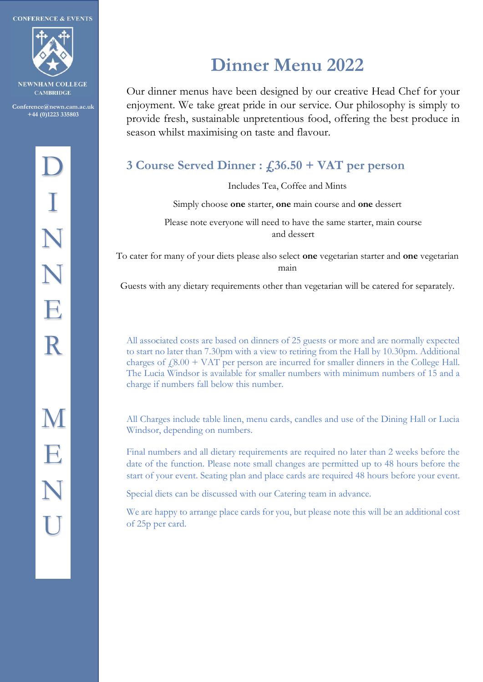**CONFERENCE & EVENTS** 



**COLLEGE CAMBRIDGE** 

**Conference@newn.cam.ac.uk +44 (0)1223 335803**

### **Dinner Menu 2022**

Our dinner menus have been designed by our creative Head Chef for your enjoyment. We take great pride in our service. Our philosophy is simply to provide fresh, sustainable unpretentious food, offering the best produce in season whilst maximising on taste and flavour.

### **3 Course Served Dinner : £36.50 + VAT per person**

Includes Tea, Coffee and Mints

Simply choose **one** starter, **one** main course and **one** dessert

Please note everyone will need to have the same starter, main course and dessert

To cater for many of your diets please also select **one** vegetarian starter and **one** vegetarian main

Guests with any dietary requirements other than vegetarian will be catered for separately.

All associated costs are based on dinners of 25 guests or more and are normally expected to start no later than 7.30pm with a view to retiring from the Hall by 10.30pm. Additional charges of  $f(8.00 + VAT)$  per person are incurred for smaller dinners in the College Hall. The Lucia Windsor is available for smaller numbers with minimum numbers of 15 and a charge if numbers fall below this number.

All Charges include table linen, menu cards, candles and use of the Dining Hall or Lucia Windsor, depending on numbers.

Final numbers and all dietary requirements are required no later than 2 weeks before the date of the function. Please note small changes are permitted up to 48 hours before the start of your event. Seating plan and place cards are required 48 hours before your event.

Special diets can be discussed with our Catering team in advance.

We are happy to arrange place cards for you, but please note this will be an additional cost of 25p per card.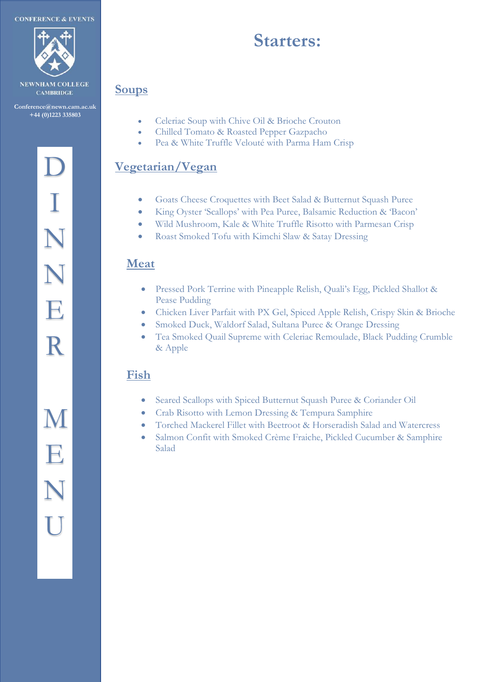

**NEWNHAM COLLEGE CAMBRIDGE** 

**Conference@newn.cam.ac.uk Conference@newn.cam.ac.uk +44 (0)1223 335803 +44 (0)1223 335803**

# D D I I N N E E R R M M E E N N N N

U U

### **Starters:**

#### **Soups**

- Celeriac Soup with Chive Oil & Brioche Crouton
- Chilled Tomato & Roasted Pepper Gazpacho
- Pea & White Truffle Velouté with Parma Ham Crisp

#### **Vegetarian/Vegan**

- Goats Cheese Croquettes with Beet Salad & Butternut Squash Puree
- King Oyster 'Scallops' with Pea Puree, Balsamic Reduction & 'Bacon'
- Wild Mushroom, Kale & White Truffle Risotto with Parmesan Crisp
- Roast Smoked Tofu with Kimchi Slaw & Satay Dressing

#### **Meat**

- Pressed Pork Terrine with Pineapple Relish, Quali's Egg, Pickled Shallot & Pease Pudding
- Chicken Liver Parfait with PX Gel, Spiced Apple Relish, Crispy Skin & Brioche
- Smoked Duck, Waldorf Salad, Sultana Puree & Orange Dressing
- Tea Smoked Quail Supreme with Celeriac Remoulade, Black Pudding Crumble & Apple

#### **Fish**

- Seared Scallops with Spiced Butternut Squash Puree & Coriander Oil
- Crab Risotto with Lemon Dressing & Tempura Samphire
- Torched Mackerel Fillet with Beetroot & Horseradish Salad and Watercress
- Salmon Confit with Smoked Crème Fraiche, Pickled Cucumber & Samphire Salad